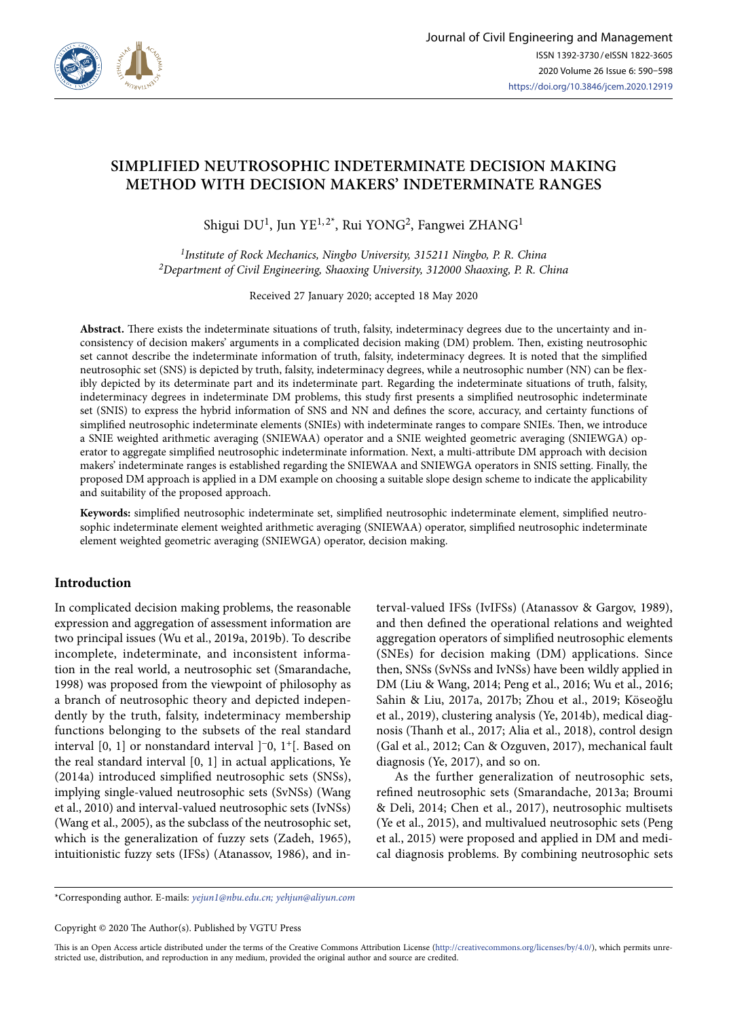

# **SIMPLIFIED NEUTROSOPHIC INDETERMINATE DECISION MAKING METHOD WITH DECISION MAKERS' INDETERMINATE RANGES**

Shigui DU<sup>1</sup>, Jun YE<sup>1, 2\*</sup>, Rui YONG<sup>2</sup>, Fangwei ZHANG<sup>1</sup>

*1Institute of Rock Mechanics, Ningbo University, 315211 Ningbo, P. R. China 2Department of Civil Engineering, Shaoxing University, 312000 Shaoxing, P. R. China*

Received 27 January 2020; accepted 18 May 2020

**Abstract.** There exists the indeterminate situations of truth, falsity, indeterminacy degrees due to the uncertainty and inconsistency of decision makers' arguments in a complicated decision making (DM) problem. Then, existing neutrosophic set cannot describe the indeterminate information of truth, falsity, indeterminacy degrees. It is noted that the simplified neutrosophic set (SNS) is depicted by truth, falsity, indeterminacy degrees, while a neutrosophic number (NN) can be flexibly depicted by its determinate part and its indeterminate part. Regarding the indeterminate situations of truth, falsity, indeterminacy degrees in indeterminate DM problems, this study first presents a simplified neutrosophic indeterminate set (SNIS) to express the hybrid information of SNS and NN and defines the score, accuracy, and certainty functions of simplified neutrosophic indeterminate elements (SNIEs) with indeterminate ranges to compare SNIEs. Then, we introduce a SNIE weighted arithmetic averaging (SNIEWAA) operator and a SNIE weighted geometric averaging (SNIEWGA) operator to aggregate simplified neutrosophic indeterminate information. Next, a multi-attribute DM approach with decision makers' indeterminate ranges is established regarding the SNIEWAA and SNIEWGA operators in SNIS setting. Finally, the proposed DM approach is applied in a DM example on choosing a suitable slope design scheme to indicate the applicability and suitability of the proposed approach.

**Keywords:** simplified neutrosophic indeterminate set, simplified neutrosophic indeterminate element, simplified neutrosophic indeterminate element weighted arithmetic averaging (SNIEWAA) operator, simplified neutrosophic indeterminate element weighted geometric averaging (SNIEWGA) operator, decision making.

# **Introduction**

In complicated decision making problems, the reasonable expression and aggregation of assessment information are two principal issues (Wu et al., 2019a, 2019b). To describe incomplete, indeterminate, and inconsistent information in the real world, a neutrosophic set (Smarandache, 1998) was proposed from the viewpoint of philosophy as a branch of neutrosophic theory and depicted independently by the truth, falsity, indeterminacy membership functions belonging to the subsets of the real standard interval  $[0, 1]$  or nonstandard interval  $]$ <sup>-</sup>0, 1<sup>+</sup>[. Based on the real standard interval [0, 1] in actual applications, Ye (2014a) introduced simplified neutrosophic sets (SNSs), implying single-valued neutrosophic sets (SvNSs) (Wang et al., 2010) and interval-valued neutrosophic sets (IvNSs) (Wang et al., 2005), as the subclass of the neutrosophic set, which is the generalization of fuzzy sets (Zadeh, 1965), intuitionistic fuzzy sets (IFSs) (Atanassov, 1986), and interval-valued IFSs (IvIFSs) (Atanassov & Gargov, 1989), and then defined the operational relations and weighted aggregation operators of simplified neutrosophic elements (SNEs) for decision making (DM) applications. Since then, SNSs (SvNSs and IvNSs) have been wildly applied in DM (Liu & Wang, 2014; Peng et al., 2016; Wu et al., 2016; Sahin & Liu, 2017a, 2017b; Zhou et al., 2019; Köseoğlu et al., 2019), clustering analysis (Ye, 2014b), medical diagnosis (Thanh et al., 2017; Alia et al., 2018), control design (Gal et al., 2012; Can & Ozguven, 2017), mechanical fault diagnosis (Ye, 2017), and so on.

As the further generalization of neutrosophic sets, refined neutrosophic sets (Smarandache, 2013a; Broumi & Deli, 2014; Chen et al., 2017), neutrosophic multisets (Ye et al., 2015), and multivalued neutrosophic sets (Peng et al., 2015) were proposed and applied in DM and medical diagnosis problems. By combining neutrosophic sets

\*Corresponding author. E-mails: *yejun1@nbu.edu.cn; yehjun@aliyun.com*

Copyright © 2020 The Author(s). Published by VGTU Press

This is an Open Access article distributed under the terms of the Creative Commons Attribution License [\(http://creativecommons.org/licenses/by/4.0/](http://creativecommons.org/licenses/by/4.0/)), which permits unrestricted use, distribution, and reproduction in any medium, provided the original author and source are credited.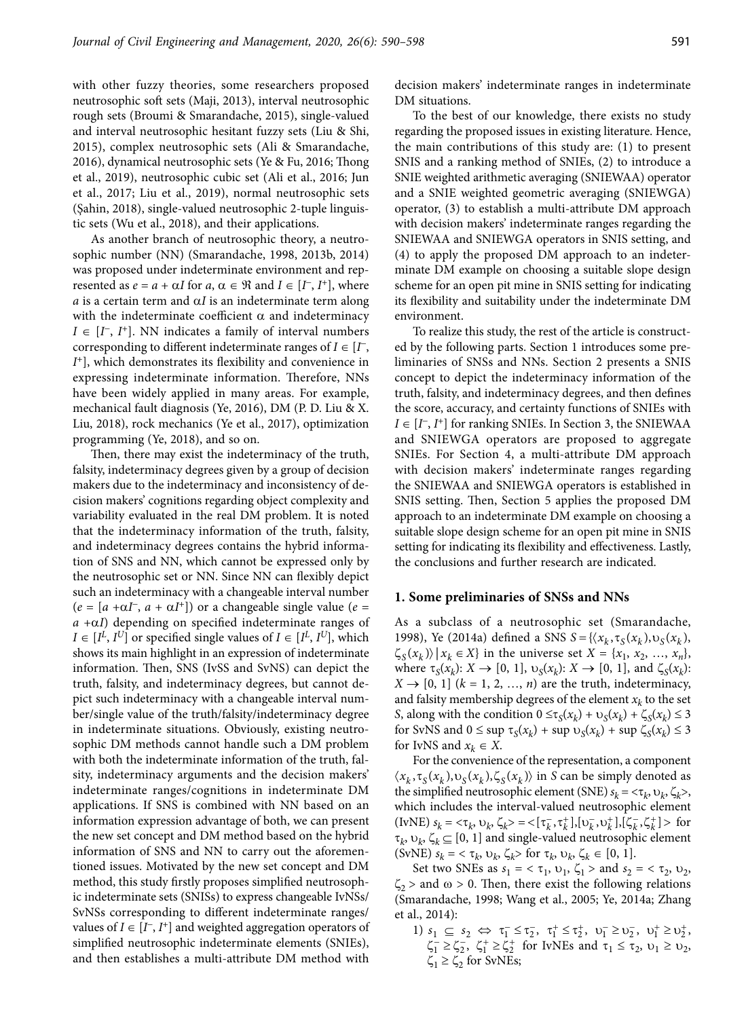with other fuzzy theories, some researchers proposed neutrosophic soft sets (Maji, 2013), interval neutrosophic rough sets (Broumi & Smarandache, 2015), single-valued and interval neutrosophic hesitant fuzzy sets (Liu & Shi, 2015), complex neutrosophic sets (Ali & Smarandache, 2016), dynamical neutrosophic sets (Ye & Fu, 2016; Thong et al., 2019), neutrosophic cubic set (Ali et al., 2016; Jun et al., 2017; Liu et al., 2019), normal neutrosophic sets (Şahin, 2018), single-valued neutrosophic 2-tuple linguistic sets (Wu et al., 2018), and their applications.

As another branch of neutrosophic theory, a neutrosophic number (NN) (Smarandache, 1998, 2013b, 2014) was proposed under indeterminate environment and represented as  $e = a + \alpha I$  for  $a, \alpha \in \mathbb{R}$  and  $I \in [I^-, I^+]$ , where  $a$  is a certain term and  $\alpha I$  is an indeterminate term along with the indeterminate coefficient  $\alpha$  and indeterminacy  $I \in [I^{\dagger}, I^{\dagger}]$ . NN indicates a family of interval numbers corresponding to different indeterminate ranges of  $I \in [I^{\mathsf{T}},$ *I*+], which demonstrates its flexibility and convenience in expressing indeterminate information. Therefore, NNs have been widely applied in many areas. For example, mechanical fault diagnosis (Ye, 2016), DM (P. D. Liu & X. Liu, 2018), rock mechanics (Ye et al., 2017), optimization programming (Ye, 2018), and so on.

Then, there may exist the indeterminacy of the truth, falsity, indeterminacy degrees given by a group of decision makers due to the indeterminacy and inconsistency of decision makers' cognitions regarding object complexity and variability evaluated in the real DM problem. It is noted that the indeterminacy information of the truth, falsity, and indeterminacy degrees contains the hybrid information of SNS and NN, which cannot be expressed only by the neutrosophic set or NN. Since NN can flexibly depict such an indeterminacy with a changeable interval number  $(e = [a + \alpha I^-, a + \alpha I^+])$  or a changeable single value (*e* =  $a + \alpha I$ ) depending on specified indeterminate ranges of  $I \in [I^L, I^U]$  or specified single values of  $I \in [I^L, I^U]$ , which shows its main highlight in an expression of indeterminate information. Then, SNS (IvSS and SvNS) can depict the truth, falsity, and indeterminacy degrees, but cannot depict such indeterminacy with a changeable interval number/single value of the truth/falsity/indeterminacy degree in indeterminate situations. Obviously, existing neutrosophic DM methods cannot handle such a DM problem with both the indeterminate information of the truth, falsity, indeterminacy arguments and the decision makers' indeterminate ranges/cognitions in indeterminate DM applications. If SNS is combined with NN based on an information expression advantage of both, we can present the new set concept and DM method based on the hybrid information of SNS and NN to carry out the aforementioned issues. Motivated by the new set concept and DM method, this study firstly proposes simplified neutrosophic indeterminate sets (SNISs) to express changeable IvNSs/ SvNSs corresponding to different indeterminate ranges/ values of  $I \in [I^-, I^+]$  and weighted aggregation operators of simplified neutrosophic indeterminate elements (SNIEs), and then establishes a multi-attribute DM method with decision makers' indeterminate ranges in indeterminate DM situations.

To the best of our knowledge, there exists no study regarding the proposed issues in existing literature. Hence, the main contributions of this study are: (1) to present SNIS and a ranking method of SNIEs, (2) to introduce a SNIE weighted arithmetic averaging (SNIEWAA) operator and a SNIE weighted geometric averaging (SNIEWGA) operator, (3) to establish a multi-attribute DM approach with decision makers' indeterminate ranges regarding the SNIEWAA and SNIEWGA operators in SNIS setting, and (4) to apply the proposed DM approach to an indeterminate DM example on choosing a suitable slope design scheme for an open pit mine in SNIS setting for indicating its flexibility and suitability under the indeterminate DM environment.

To realize this study, the rest of the article is constructed by the following parts. Section 1 introduces some preliminaries of SNSs and NNs. Section 2 presents a SNIS concept to depict the indeterminacy information of the truth, falsity, and indeterminacy degrees, and then defines the score, accuracy, and certainty functions of SNIEs with  $I \in [I^-, I^+]$  for ranking SNIEs. In Section 3, the SNIEWAA and SNIEWGA operators are proposed to aggregate SNIEs. For Section 4, a multi-attribute DM approach with decision makers' indeterminate ranges regarding the SNIEWAA and SNIEWGA operators is established in SNIS setting. Then, Section 5 applies the proposed DM approach to an indeterminate DM example on choosing a suitable slope design scheme for an open pit mine in SNIS setting for indicating its flexibility and effectiveness. Lastly, the conclusions and further research are indicated.

### **1. Some preliminaries of SNSs and NNs**

As a subclass of a neutrosophic set (Smarandache, 1998), Ye (2014a) defined a SNS  $S = \{ (x_k, \tau_S(x_k), \upsilon_S(x_k), \tau_S(x_k), \tau_S(x_k), \tau_S(x_k) \}$  $\{\zeta_{\rm s}(x_k)\}\,| x_k \in X\}$  in the universe set  $X = \{x_1, x_2, ..., x_n\}$ , where  $\tau_S(x_k)$ :  $X \to [0, 1]$ ,  $\upsilon_S(x_k)$ :  $X \to [0, 1]$ , and  $\zeta_S(x_k)$ :  $X \rightarrow [0, 1]$  ( $k = 1, 2, ..., n$ ) are the truth, indeterminacy, and falsity membership degrees of the element  $x_k$  to the set *S*, along with the condition  $0 \le \tau_S(x_k) + \upsilon_S(x_k) + \zeta_S(x_k) \le 3$ for SvNS and  $0 \le \sup \tau_S(x_k) + \sup \upsilon_S(x_k) + \sup \zeta_S(x_k) \le 3$ for IvNS and  $x_k \in X$ .

For the convenience of the representation, a component  $\langle x_k, \tau_s(x_k), v_s(x_k), \zeta_s(x_k) \rangle$  in *S* can be simply denoted as the simplified neutrosophic element (SNE)  $s_k = \langle \tau_k, \upsilon_k, \zeta_k \rangle$ , which includes the interval-valued neutrosophic element  $(KN)$   $s_k = \langle \tau_k, \upsilon_k, \zeta_k \rangle = \langle [\tau_k^-, \tau_k^+], [\upsilon_k^-, \upsilon_k^+], [\zeta_k^-, \zeta_k^+] \rangle$  for  $\tau_k$ ,  $\upsilon_k$ ,  $\zeta_k \subseteq [0, 1]$  and single-valued neutrosophic element  $(SvNE)$   $s_k = \langle \tau_k, \upsilon_k, \zeta_k \rangle$  for  $\tau_k, \upsilon_k, \zeta_k \in [0, 1].$ 

Set two SNEs as  $s_1 = \langle \tau_1, \nu_1, \zeta_1 \rangle$  and  $s_2 = \langle \tau_2, \nu_2, \zeta_1 \rangle$  $\zeta_2$  > and  $\omega$  > 0. Then, there exist the following relations (Smarandache, 1998; Wang et al., 2005; Ye, 2014a; Zhang et al., 2014):

 $1) \ s_1 \ \subseteq \ s_2 \ \Leftrightarrow \ \tau_1^- \leq \tau_2^-, \ \ \tau_1^+ \leq \tau_2^+, \ \ \upsilon_1^- \geq \upsilon_2^-, \ \ \upsilon_1^+ \geq \upsilon_2^+,$  $\zeta_1^- \geq \zeta_2^-$ ,  $\zeta_1^+ \geq \zeta_2^+$  for IvNEs and  $\tau_1 \leq \tau_2$ ,  $\upsilon_1 \geq \upsilon_2$ ,  $\zeta_1 \geq \zeta_2$  for SvNEs;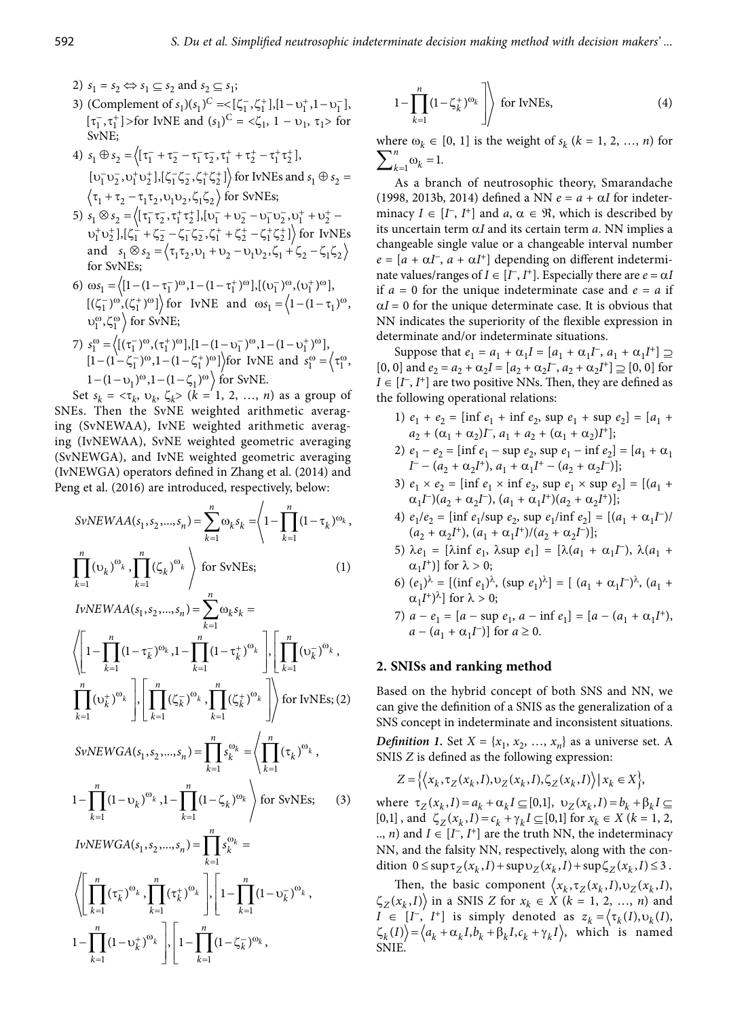2)  $s_1 = s_2 \Leftrightarrow s_1 \subseteq s_2$  and  $s_2 \subseteq s_1$ ;

- $[\tau_1^-, \tau_1^+]$  > for IvNE and  $(s_1)^C = \langle \zeta_1, 1 \upsilon_1, \tau_1 \rangle$  for  $\overline{k=1}$ SvNE;
	- 4)  $s_1 \oplus s_2 = \langle [\tau_1^- + \tau_2^- \tau_1^- \tau_2^-, \tau_1^+ + \tau_2^+ \tau_1^+ \tau_2^+],$  $[v_1^-v_2^-, v_1^+v_2^+]$ , $[\zeta_1^- \zeta_2^-, \zeta_1^+ \zeta_2^+]$  for IvNEs and  $s_1 \oplus s_2 =$  $\langle \tau_1 + \tau_2 - \tau_1 \tau_2, \nu_1 \nu_2, \zeta_1 \zeta_2 \rangle$  for SvNEs;
	- 5)  $s_1 \otimes s_2 = \left\langle \left[ \tau_1^- \tau_2^-, \tau_1^+ \tau_2^+ \right], \left[ \nu_1^- + \nu_2^- \nu_1^- \nu_2^-, \nu_1^+ + \nu_2^+ \right. \right.$  $10_1^+10_2^+$ ], $[ \zeta_1^- + \zeta_2^- - \zeta_1^- \zeta_2^- , \zeta_1^+ + \zeta_2^+ - \zeta_1^+ \zeta_2^+ ] \$  for IvNEs and  $s_1 \otimes s_2 = \langle \tau_1 \tau_2, v_1 + v_2 - v_1 v_2, \zeta_1 + \zeta_2 - \zeta_1 \zeta_2 \rangle$ for SvNEs;
	- 6)  $\omega s_1 = \left\langle [1 (1 \tau_1^{-})^{\omega}, 1 (1 \tau_1^{+})^{\omega} \right], \left[ (v_1^{-})^{\omega}, (v_1^{+})^{\omega} \right],$  $\left[ (\zeta_1^-)^{\omega}, (\zeta_1^+)^{\omega} \right]$  for IvNE and  $\omega s_1 = (1 - (1 - \tau_1)^{\omega},$  $v_1^{\omega}, \zeta_1^{\omega}$  for SvNE;
- 7)  $s_1^{\omega} = \left\langle [(\tau_1^{-})^{\omega}, (\tau_1^{+})^{\omega}], [1 (1 \nu_1^{-})^{\omega}, 1 (1 \nu_1^{+})^{\omega}], \right\rangle$  determinate and/  $[1 - (1 - \zeta_1^{-})^{\omega}, 1 - (1 - \zeta_1^{+})^{\omega}]$  for IvNE and  $s_1^{\omega} = \begin{cases} \tau_1^{\omega}, & \text{suppose that } \tau_1 \\ \tau_1, & [0, 0] \text{ and } \epsilon_2 = a_2 + a_1 \end{cases}$  $1 - (1 - \nu_1)^{\omega}$ ,  $1 - (1 - \zeta_1)^{\omega}$  for SvNE.

Set  $s_k = \langle \tau_k, v_k, \zeta_k \rangle$  ( $k = 1, 2, ..., n$ ) as a group of SNEs. Then the SvNE weighted arithmetic averaging (SvNEWAA), IvNE weighted arithmetic averaging (IvNEWAA), SvNE weighted geometric averaging (SvNEWGA), and IvNE weighted geometric averaging (IvNEWGA) operators defined in Zhang et al. (2014) and Peng et al. (2016) are introduced, respectively, below:

$$
SvNEWAA(s_1, s_2, ..., s_n) = \sum_{k=1}^{n} \omega_k s_k = \begin{cases} 1 - \prod_{k=1}^{n} (1 - \tau_k)^{\omega_k}, & \text{if } k \in \mathbb{Z} \text{ and } j \in \mathbb{Z} \text{ and } j \in \mathbb{Z} \text{ and } j \in \mathbb{Z} \text{ and } j \in \mathbb{Z} \text{ and } j \in \mathbb{Z} \text{ and } j \in \mathbb{Z} \text{ and } j \in \mathbb{Z} \text{ and } j \in \mathbb{Z} \text{ and } j \in \mathbb{Z} \text{ and } j \in \mathbb{Z} \text{ and } j \in \mathbb{Z} \text{ and } j \in \mathbb{Z} \text{ and } j \in \mathbb{Z} \text{ and } j \in \mathbb{Z} \text{ and } j \in \mathbb{Z} \text{ and } j \in \mathbb{Z} \text{ and } j \in \mathbb{Z} \text{ and } j \in \mathbb{Z} \text{ and } j \in \mathbb{Z} \text{ and } j \in \mathbb{Z} \text{ and } j \in \mathbb{Z} \text{ and } j \in \mathbb{Z} \text{ and } j \in \mathbb{Z} \text{ and } j \in \mathbb{Z} \text{ and } j \in \mathbb{Z} \text{ and } j \in \mathbb{Z} \text{ and } j \in \mathbb{Z} \text{ and } j \in \mathbb{Z} \text{ and } j \in \mathbb{Z} \text{ and } j \in \mathbb{Z} \text{ and } j \in \mathbb{Z} \text{ and } j \in \mathbb{Z} \text{ and } j \in \mathbb{Z} \text{ and } j \in \mathbb{Z} \text{ and } j \in \mathbb{Z} \text{ and } j \in \mathbb{Z} \text{ and } j \in \mathbb{Z} \text{ and } j \in \mathbb{Z} \text{ and } j \in \mathbb{Z} \text{ and } j \in \mathbb{Z} \text{ and } j \in \mathbb{Z} \text{ and } j \in \mathbb{Z} \text{ and } j \in \mathbb{Z} \text{ and } j \in \mathbb{Z} \text{ and } j \in \mathbb{Z} \text{ and } j \in \mathbb{Z} \text{ and } j \in \mathbb{Z} \text{ and } j \in \mathbb{Z} \text{ and } j \in \math
$$

$$
\left\{\left[1-\prod_{k=1}^{n}(1-\tau_{k}^{-})^{\omega_{k}},1-\prod_{k=1}^{n}(1-\tau_{k}^{+})^{\omega_{k}}\right],\left[\prod_{k=1}^{n}(v_{k}^{-})^{\omega_{k}},\right]\right\}
$$
\n
$$
\left\{\left[1-\prod_{k=1}^{n}(1-\tau_{k}^{-})^{\omega_{k}},1-\prod_{k=1}^{n}(1-\tau_{k}^{+})^{\omega_{k}}\right]\right\}
$$
\n
$$
\left\{\prod_{k=1}^{n}(v_{k}^{+})^{\omega_{k}}\right\}
$$
\n
$$
\left\{\prod_{k=1}^{n}(v_{k}^{+})^{\omega_{k}}\right\}
$$
\nfor IvNEs; (2) Based on the hybrid concept of  
\ncan give the definition of a SNIS a  
\nSNS concept in indeterminate and

$$
SvNEWGA(s_1, s_2, \ldots, s_n) = \prod_{k=1}^n s_k^{\omega_k} = \left\langle \prod_{k=1}^n (\tau_k)^{\omega_k}, \right\rangle
$$
\n
$$
Definition \text{ 1. Set } X = \{x_1, x_2, \ldots, x_n\} \text{ as a uni}
$$
\n
$$
S N IS Z \text{ is defined as the following expression:}
$$
\n
$$
Z = \{ (x_1, x_2, \ldots, x_n) \mid x_1 \in X \text{ and } y_2 \in X \text{ such that } \sum_{k=1}^n (x_k - x_k)^{k-1} \text{ and } y_2 \in X \text{ such that } \sum_{k=1}^n (x_k - x_k)^{k-1} \text{ and } y_2 \in X \text{ such that } \sum_{k=1}^n (x_k - x_k)^{k-1} \text{ and } y_2 \in X \text{ such that } \sum_{k=1}^n (x_k - x_k)^{k-1} \text{ and } y_2 \in X \text{ such that } \sum_{k=1}^n (x_k - x_k)^{k-1} \text{ and } y_2 \in X \text{ such that } \sum_{k=1}^n (x_k - x_k)^{k-1} \text{ and } y_2 \in X \text{ such that } \sum_{k=1}^n (x_k - x_k)^{k-1} \text{ and } y_2 \in X \text{ such that } \sum_{k=1}^n (x_k - x_k)^{k-1} \text{ and } y_2 \in X \text{ such that } \sum_{k=1}^n (x_k - x_k)^{k-1} \text{ and } y_2 \in X \text{ such that } \sum_{k=1}^n (x_k - x_k)^{k-1} \text{ and } y_2 \in X \text{ such that } \sum_{k=1}^n (x_k - x_k)^{k-1} \text{ and } y_2 \in X \text{ such that } \sum_{k=1}^n (x_k - x_k)^{k-1} \text{ and } y_2 \in X \text{ such that } \sum_{k=1}^n (x_k - x_k)^{k-1} \text{ and } y_2 \in X \text{ such that } \sum_{k=1}^n (x_k - x_k)^{k-1} \text{ and } y_2 \in X \text{ such that } \sum_{k=1}^n (x_k - x_k)^{k-1} \text{ and } y_2 \in X \text{ such that } y_2
$$

$$
1 - \prod_{k=1}^{n} (1 - \upsilon_k)^{\omega_k}, 1 - \prod_{k=1}^{n} (1 - \zeta_k)^{\omega_k} \to \text{for SvNEs}; \qquad (3)
$$

$$
IvNEWGA(s_1, s_2, ..., s_n) = \prod_{k=1} s_k^{\omega_k} =
$$
  

$$
\left\langle \left[ \prod_{k=1}^n (\tau_k^-)^{\omega_k}, \prod_{k=1}^n (\tau_k^+)^{\omega_k} \right], \left[ 1 - \prod_{k=1}^n (1 - \nu_k^-)^{\omega_k}, \right. \right.
$$
  

$$
1 - \prod_{k=1}^n (1 - \nu_k^+)^{\omega_k} \left] , \left[ 1 - \prod_{k=1}^n (1 - \zeta_k^-)^{\omega_k}, \right. \right.
$$

2) 
$$
s_1 = s_2 \Leftrightarrow s_1 \subseteq s_2
$$
 and  $s_2 \subseteq s_1$ ;  
\n3) (Complement of  $s_1$ ) $(s_1)^C = \{[\zeta_1^-, \zeta_1^+], [1 - \upsilon_1^+, 1 - \upsilon_1^-],$   
\n $[\tau_1^-, \tau_1^+] >$  for IVNE and  $(s_1)^C = \langle \zeta_1^-, 1 - \upsilon_1^-, 1 - \upsilon_1^- \rangle$  for

where  $ω_k$  ∈ [0, 1] is the weight of  $s_k$  ( $k = 1, 2, ..., n$ ) for  $\sum\nolimits_{k=1}^{n} \omega_k = 1.$ 

As a branch of neutrosophic theory, Smarandache (1998, 2013b, 2014) defined a NN  $e = a + \alpha I$  for indeterminacy  $I \in [I^-, I^+]$  and  $a, \alpha \in \mathcal{R}$ , which is described by its uncertain term a*I* and its certain term *a*. NN implies a changeable single value or a changeable interval number  $e = [a + \alpha I^{\dagger}, a + \alpha I^{\dagger}]$  depending on different indeterminate values/ranges of  $I \in [I^-, I^+]$ . Especially there are  $e = \alpha I$ if  $a = 0$  for the unique indeterminate case and  $e = a$  if  $\alpha$ *I* = 0 for the unique determinate case. It is obvious that NN indicates the superiority of the flexible expression in determinate and/or indeterminate situations.

Suppose that  $e_1 = a_1 + \alpha_1 I = [a_1 + \alpha_1 I^-, a_1 + \alpha_1 I^+] \supseteq$  $[0, 0]$  and  $e_2 = a_2 + \alpha_2 I = [a_2 + \alpha_2 I^-, a_2 + \alpha_2 I^+] \supseteq [0, 0]$  for  $I \in [I^-, I^+]$  are two positive NNs. Then, they are defined as the following operational relations:

- 1)  $e_1 + e_2 = \left[ \text{inf } e_1 + \text{inf } e_2, \text{ sup } e_1 + \text{sup } e_2 \right] = \left[ a_1 + \text{sup } e_2 \right]$  $a_2 + (\alpha_1 + \alpha_2)I^-, a_1 + a_2 + (\alpha_1 + \alpha_2)I^+]$ ;
- 2)  $e_1 e_2 = \left[ \inf e_1 \sup e_2, \sup e_1 \inf e_2 \right] = \left[ a_1 + \alpha_1 \right]$  $I^-(a_2 + \alpha_2 I^+), a_1 + \alpha_1 I^+ - (a_2 + \alpha_2 I^-));$
- 3)  $e_1 \times e_2 = [\inf e_1 \times \inf e_2, \sup e_1 \times \sup e_2] = [(a_1 + b_2) \times (a_2 + b_1)]$  $\alpha_1 I^{-}(a_2 + \alpha_2 I^{-})$ ,  $(a_1 + \alpha_1 I^{+})(a_2 + \alpha_2 I^{+})$ ];
- $(a_2 + \alpha_2 I^+), (a_1 + \alpha_1 I^+)/(a_2 + \alpha_2 I^-);$
- 5)  $\lambda e_1 = [\lambda \inf e_1, \lambda \sup e_1] = [\lambda (a_1 + \alpha_1 I^{\dagger}), \lambda (a_1 + \alpha_2 I^{\dagger})]$  $\alpha_1 I^+$ ] for  $\lambda > 0$ ;
- 6)  $(e_1)^{\lambda} = [(\text{inf } e_1)^{\lambda}, (\text{sup } e_1)^{\lambda}] = [ (a_1 + \alpha_1 I^{-})^{\lambda}, (a_1 +$  $\alpha_1 I^{\dagger}$ <sup>1</sup> for  $\lambda > 0$ ;
- 7)  $a e_1 = [a \sup e_1, a \inf e_1] = [a (a_1 + \alpha_1 I^+),$

 $\prod_{n=1}^{n}$   $\phi_k$   $\prod_{n=1}^{n}$   $\phi_n$  *Definition 1.* Set  $X = \{x_1, x_2, ..., x_n\}$  as a universe set. A Based on the hybrid concept of both SNS and NN, we can give the definition of a SNIS as the generalization of a SNS concept in indeterminate and inconsistent situations.

$$
Z = \left\{ \left\langle x_k, \tau_Z(x_k, I), \nu_Z(x_k, I), \zeta_Z(x_k, I) \right\rangle | x_k \in X \right\},\
$$

where  $\tau_Z(x_k, I) = a_k + \alpha_k I \subseteq [0,1], \upsilon_Z(x_k, I) = b_k + \beta_k I \subseteq$  $[0,1]$ , and  $\zeta_Z(x_k, I) = c_k + \gamma_k I \subseteq [0,1]$  for  $x_k \in X$  ( $k = 1, 2$ , .., *n*) and  $I \in [I^-, I^+]$  are the truth NN, the indeterminacy NN, and the falsity NN, respectively, along with the condition  $0 \leq \sup \tau_Z(x_k, I) + \sup \tau_Z(x_k, I) + \sup \zeta_Z(x_k, I) \leq 3$ .

 $\begin{array}{ccc} k=1 & & \text{if } k=1 \\ & k=1 & & \text{if } k \in [I^-, I^+] \text{ is simply denoted as } z_k = \left\langle \tau_k(I), \nu_k(I), \right\rangle \end{array}$  $(\tau_k^-)^{\omega_k}$ ,  $[(\tau_k^+)^{\omega_k}$ ,  $[1 - 1]$   $[(1 - \nu_k^-)^{\omega_k}$ ,  $\tau_{\tau_k}(x_k, t)]$  in a SNIS *Z* for  $x_k \in X$  ( $k = 1$ )  $\prod_{k=1}^{n}$   $\prod_{r=1}^{n}$   $\prod_{r=1}^{n}$   $\prod_{i=1}^{n}$   $\prod_{i=1}^{n}$   $\prod_{r=1}^{n}$   $\prod_{r=1}^{n}$   $\prod_{r=1}^{n}$   $\prod_{r=1}^{n}$   $\prod_{r=1}^{n}$   $\prod_{r=1}^{n}$   $\prod_{r=1}^{n}$   $\prod_{r=1}^{n}$   $\prod_{r=1}^{n}$   $\prod_{r=1}^{n}$   $\prod_{r=1}^{n}$   $\prod_{r=1}^{n}$   $\left[\prod_{k=1}^{n}(\tau_{k}^{-})^{\omega_{k}}, \prod_{k=1}^{n}(\tau_{k}^{+})^{\omega_{k}}\right], \left[1-\prod_{k=1}^{n}(1-\upsilon_{k}^{-})^{\omega_{k}}, \right]$  Then, the basic component  $\left\langle x_{k}, \tau_{Z}(x_{k}, I), \upsilon_{Z}(x_{k}, I), \right\rangle$ <br> $\left\langle z_{Z}(x_{k}, I)\right\rangle$  in a SNIS *Z* for  $x_{k} \in X$  ( $k = 1, 2, ..., n$ ) and  $I \$  $\langle \zeta_k(I) \rangle = \langle a_k + \alpha_k I, b_k + \beta_k I, c_k + \gamma_k I \rangle$ , which is named SNIE.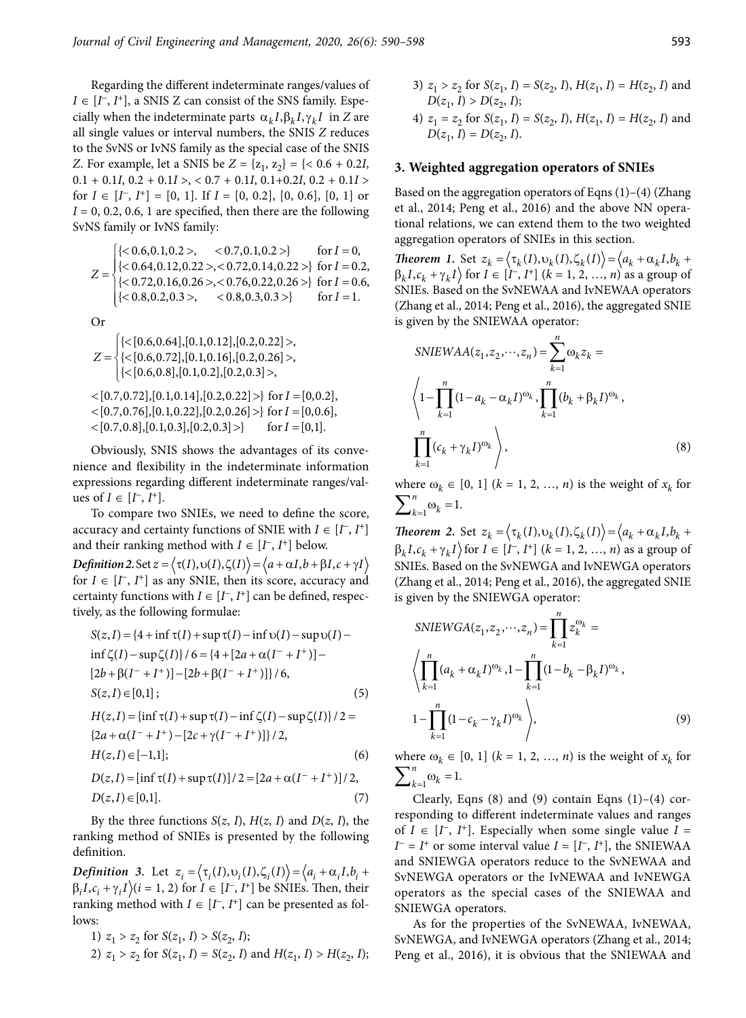Regarding the different indeterminate ranges/values of  $I \in [I^-, I^+]$ , a SNIS Z can consist of the SNS family. Especially when the indeterminate parts  $\alpha_k I, \beta_k I, \gamma_k I$  in *Z* are all single values or interval numbers, the SNIS *Z* reduces to the SvNS or IvNS family as the special case of the SNIS *Z*. For example, let a SNIS be  $Z = \{z_1, z_2\} = \{< 0.6 + 0.2I,$ 0.1 + 0.1*I*, 0.2 + 0.1*I* >, < 0.7 + 0.1*I*, 0.1+0.2*I*, 0.2 + 0.1*I* > for  $I \in [I^-, I^+] = [0, 1]$ . If  $I = [0, 0.2]$ ,  $[0, 0.6]$ ,  $[0, 1]$  or  $I = 0, 0.2, 0.6, 1$  are specified, then there are the following SvNS family or IvNS family:

$$
Z = \begin{cases} \{<0.6, 0.1, 0.2>, < 0.7, 0.1, 0.2>\} & \text{for } I = 0, \\ \{<0.64, 0.12, 0.22>, <0.72, 0.14, 0.22>\} & \text{for } I = 0.2, \\ \{<0.72, 0.16, 0.26>, <0.76, 0.22, 0.26>\} & \text{for } I = 0.6, \\ \{<0.8, 0.2, 0.3>, < 0.8, 0.3, 0.3>\} & \text{for } I = 1. \end{cases}
$$

Or

$$
Z = \begin{cases} \{< [0.6, 0.64], [0.1, 0.12], [0.2, 0.22] > \\ \{< [0.6, 0.72], [0.1, 0.16], [0.2, 0.26] > \\ \{< [0.6, 0.8], [0.1, 0.2], [0.2, 0.3] > \\ < [0.7, 0.72], [0.1, 0.14], [0.2, 0.22] > \} \text{ for } I = [0, 0.2], \\ < [0.7, 0.76], [0.1, 0.22], [0.2, 0.26] > \} \text{ for } I = [0, 0.6], \\ < [0.7, 0.8], [0.1, 0.3], [0.2, 0.3] > \} \text{ for } I = [0, 1]. \end{cases} \qquad \begin{cases} 1 - \prod_{k=1}^{n} (1 - a_k - \alpha_k I)^{\omega_k}, \\ 1 - \prod_{k=1}^{n} (1 - a_k - \alpha_k I)^{\omega_k}, \\ 1 - \prod_{k=1}^{n} (1 - a_k - \alpha_k I)^{\omega_k}. \end{cases}
$$

nience and flexibility in the indeterminate information  $k=1$ expressions regarding different indeterminate ranges/values of  $I \in [I^-, I^+]$ .

To compare two SNIEs, we need to define the score, accuracy and certainty functions of SNIE with  $I \in [I^-, I^+]$ and their ranking method with  $I \in [I^-, I^+]$  below.

*Definition 2.* Set  $z = \langle \tau(I), \nu(I), \zeta(I) \rangle = \langle a + \alpha I, b + \beta I, c + \gamma I \rangle$ for  $I \in [I^{\mathsf{T}}, I^{\mathsf{+}}]$  as any SNIE, then its score, accuracy and certainty functions with  $I \in [I^-, I^+]$  can be defined, respectively, as the following formulae:

$$
S(z, I) = \{4 + \inf \tau(I) + \sup \tau(I) - \inf \upsilon(I) - \sup \upsilon(I) - \sup \upsilon(I) - \sup \upsilon(I) - \frac{\upsilon(I \cdot \upsilon(I) - \upsilon(I \cdot \upsilon(I)) - \upsilon(I \cdot \upsilon(I))}{k-1} \}^{n} \leq k \}
$$
  
\n
$$
S(z, I) \in [0, 1];
$$
\n
$$
S(z, I) \in [0, 1];
$$
\n
$$
S(z, I) \in [0, 1];
$$
\n
$$
S(z, I) \in [0, 1]
$$
\n
$$
S(z, I) \in [0, 1]
$$
\n
$$
S(z, I) \in [0, 1]
$$

$$
H(z, I) = \{\inf \tau(I) + \sup \tau(I) - \inf \zeta(I) - \sup \zeta(I)\}/2 = 1 - \prod_{k=1} (1 - c_k - \gamma_k I)^{\omega_k}
$$
  
\n
$$
H(z, I) \in [-1, 1];
$$
  
\n
$$
D(z, I) = [\inf \tau(I) + \sup \tau(I)]/2 = [2a + \alpha(I^- + I^+)]/2,
$$
  
\n
$$
\sum_{k=1}^{n} (\log I - \gamma_k I)^{1/2} = 2a + \alpha(I^- + I^+)/2,
$$
  
\n
$$
\sum_{k=1}^{n} (\log I - \gamma_k I)^{1/2} = 2a + \alpha(I^- + I^+)/2,
$$
  
\n
$$
\sum_{k=1}^{n} (\log I - \gamma_k I)^{1/2} = 2a + \alpha(I^- + I^+)/2,
$$

$$
D(z, I) \in [0,1].
$$
\n<sup>(7)</sup>

By the three functions  $S(z, I)$ ,  $H(z, I)$  and  $D(z, I)$ , the ranking method of SNIEs is presented by the following definition.

*Definition 3.* Let  $z_i = \langle \tau_i(I), \nu_i(I), \zeta_i(I) \rangle = \langle a_i + \alpha_i I, b_i + \gamma_i I \rangle$  $(\beta_i I, c_i + \gamma_i I)(i = 1, 2)$  for  $I \in [I^-, I^+]$  be SNIEs. Then, their ranking method with  $I \in [I^-, I^+]$  can be presented as follows:

- 1)  $z_1 > z_2$  for  $S(z_1, I) > S(z_2, I)$ ;
- 2)  $z_1 > z_2$  for  $S(z_1, I) = S(z_2, I)$  and  $H(z_1, I) > H(z_2, I)$ ;
- 3)  $z_1 > z_2$  for  $S(z_1, I) = S(z_2, I)$ ,  $H(z_1, I) = H(z_2, I)$  and  $D(z_1, I) > D(z_2, I);$
- 4)  $z_1 = z_2$  for  $S(z_1, I) = S(z_2, I)$ ,  $H(z_1, I) = H(z_2, I)$  and  $D(z_1, I) = D(z_2, I).$

# **3. Weighted aggregation operators of SNIEs**

Based on the aggregation operators of Eqns (1)–(4) (Zhang et al., 2014; Peng et al., 2016) and the above NN operational relations, we can extend them to the two weighted aggregation operators of SNIEs in this section.

*Theorem 1.* Set  $z_k = \langle \tau_k(I), v_k(I), \zeta_k(I) \rangle = \langle a_k + \alpha_k I, b_k + I \rangle$  $\beta_k I, c_k + \gamma_k I$  for  $I \in [I^-, I^+]$  ( $k = 1, 2, ..., n$ ) as a group of SNIEs. Based on the SvNEWAA and IvNEWAA operators (Zhang et al., 2014; Peng et al., 2016), the aggregated SNIE is given by the SNIEWAA operator:

$$
Z = \begin{cases} \{&\{[0.6, 0.64], [0.1, 0.12], [0.2, 0.22] > \end{cases} \text{ SNIEWAA}(z_1, z_2, \dots, z_n) = \sum_{k=1}^n \omega_k z_k = \{&\{[0.6, 0.8], [0.1, 0.16], [0.2, 0.26] > \end{cases} \text{ SNIEWAA}(z_1, z_2, \dots, z_n) = \sum_{k=1}^n \omega_k z_k = \{[0.7, 0.72], [0.1, 0.14], [0.2, 0.22] > \} \text{ for } I = [0, 0.2],
$$
\n
$$
\langle [0.7, 0.76], [0.1, 0.22], [0.2, 0.26] > \} \text{ for } I = [0, 0.6],
$$
\n
$$
\langle [0.7, 0.8], [0.1, 0.3], [0.2, 0.3] > \rangle \text{ for } I = [0, 1].
$$
\nObviously, SNIS shows the advantages of its convex  
nience and flexibility in the indeterminate information\n
$$
\sum_{k=1}^n (c_k + \gamma_k I)^{\omega_k} \rangle,
$$
\n
$$
(8)
$$

where  $\omega_k \in [0, 1]$   $(k = 1, 2, ..., n)$  is the weight of  $x_k$  for  $\sum_{k=1}^{n} \omega_k = 1.$ 

*Theorem 2.* Set  $z_k = \langle \tau_k(I), v_k(I), \zeta_k(I) \rangle = \langle a_k + \alpha_k I, b_k + I \rangle$  $\beta_k I, c_k + \gamma_k I$  for  $I \in [I^-, I^+]$  ( $k = 1, 2, ..., n$ ) as a group of SNIEs. Based on the SvNEWGA and IvNEWGA operators (Zhang et al., 2014; Peng et al., 2016), the aggregated SNIE is given by the SNIEWGA operator:

as the following formulae:  
\n
$$
z, I) = \{4 + \inf \tau(I) + \sup \tau(I) - \inf \upsilon(I) - \sup \upsilon(I) - \sum_{k=1}^{n} z_k^{\omega_k} = \sum_{k=1}^{n} z_k^{\omega_k} = \sum_{k=1}^{n} z_k^{\omega_k} = \sum_{k=1}^{n} z_k^{\omega_k} = \sum_{k=1}^{n} z_k^{\omega_k} = \sum_{k=1}^{n} z_k^{\omega_k} = \sum_{k=1}^{n} z_k^{\omega_k} = \sum_{k=1}^{n} (I - \upsilon_k + \beta(I - \tau + 1)) - [2b + \beta(I - \tau + 1)]\} / 6,
$$
\n
$$
z, I) = \{0, 1\};
$$
\n
$$
z, I) = \{ \inf \tau(I) + \sup \tau(I) - \inf \zeta(I) - \sup \zeta(I)\} / 2 = \sum_{k=1}^{n} (1 - c_k - \gamma_k I)^{\omega_k} \}
$$
\n
$$
1 - \prod_{k=1}^{n} (1 - c_k - \gamma_k I)^{\omega_k} \}
$$
\n(9)

where  $\omega_k \in [0, 1]$  ( $k = 1, 2, ..., n$ ) is the weight of  $x_k$  for

Clearly, Eqns  $(8)$  and  $(9)$  contain Eqns  $(1)-(4)$  corresponding to different indeterminate values and ranges of  $I \in [I^-, I^+]$ . Especially when some single value  $I =$  $I = I^+$  or some interval value  $I = [I^-, I^+]$ , the SNIEWAA and SNIEWGA operators reduce to the SvNEWAA and SvNEWGA operators or the IvNEWAA and IvNEWGA operators as the special cases of the SNIEWAA and SNIEWGA operators.

As for the properties of the SvNEWAA, IvNEWAA, SvNEWGA, and IvNEWGA operators (Zhang et al., 2014; Peng et al., 2016), it is obvious that the SNIEWAA and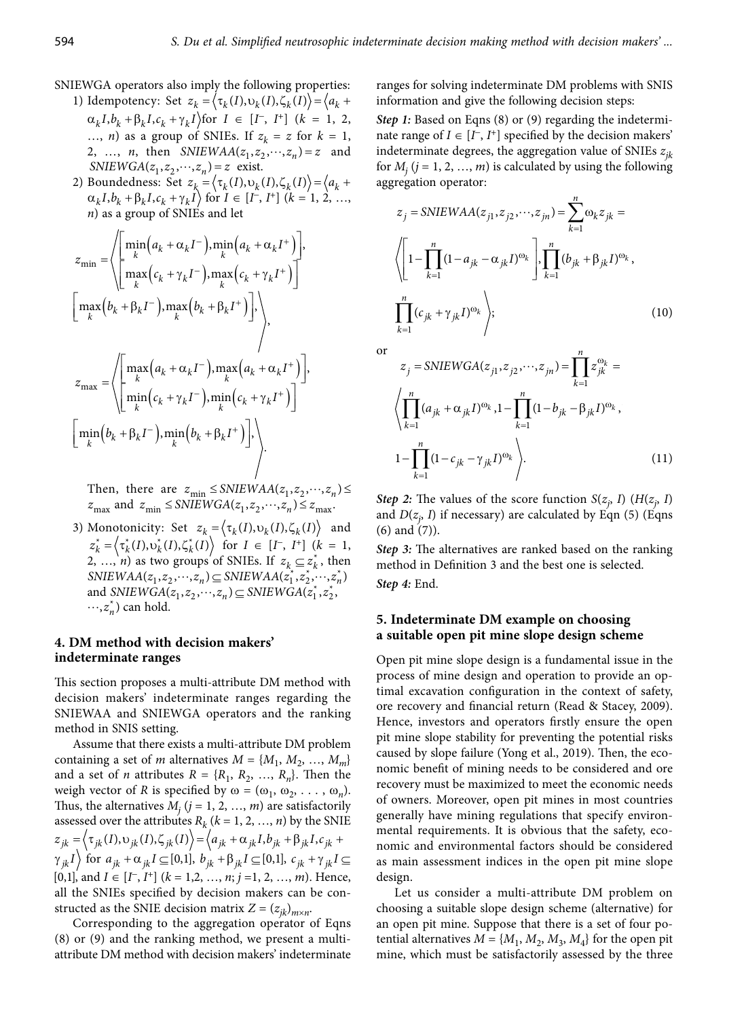- SNIEWGA operators also imply the following properties:
	- 1) Idempotency: Set  $z_k = \langle \tau_k(I), v_k(I), \zeta_k(I) \rangle = \langle a_k +$  $(\alpha_k I, b_k + \beta_k I, c_k + \gamma_k I)$  for  $I \in [I^-, I^+]$   $(k = 1, 2, 1)$ ..., *n*) as a group of SNIEs. If  $z_k = z$  for  $k = 1$ , 2, ..., *n*, then  $SNIEWAA(z_1, z_2, \dots, z_n) = z$  and  $SNIEWGA(z_1, z_2, \dots, z_n) = z$  exist.
	- 2) Boundedness: Set  $z_k = \langle \tau_k(I), v_k(I), \zeta_k(I) \rangle = \langle a_k +$  $(\alpha_k I, b_k + \beta_k I, c_k + \gamma_k I)$  for  $I \in [I^-, I^+]$  ( $k = 1, 2, ...,$ *n*) as a group of SNIEs and let

$$
z_{\min} = \left\langle \begin{bmatrix} \min_{k} (a_{k} + \alpha_{k} I^{-}), \min_{k} (a_{k} + \alpha_{k} I^{+}) \\ \max_{k} (c_{k} + \gamma_{k} I^{-}), \max_{k} (c_{k} + \gamma_{k} I^{+}) \end{bmatrix}, \begin{bmatrix} \max_{k} (b_{k} + \beta_{k} I^{-}), \max_{k} (b_{k} + \beta_{k} I^{+}) \end{bmatrix} \right\rangle
$$
\n
$$
= \left\langle \begin{bmatrix} \max_{k} (a_{k} + \alpha_{k} I^{-}), \max_{k} (b_{k} + \beta_{k} I^{+}) \end{bmatrix}, \begin{bmatrix} \max_{k} (a_{k} + \alpha_{k} I^{-}) \max_{k} (a_{k} + \alpha_{k} I^{+}) \\ \min_{k} (b_{k} + \gamma_{k} I^{-}), \min_{k} (c_{k} + \gamma_{k} I^{+}) \end{bmatrix}, \begin{bmatrix} \max_{k} (a_{k} + \alpha_{k} I^{-}) \max_{k} (a_{k} + \alpha_{k} I^{+}) \max_{k} (a_{k} + \alpha_{k} I^{+}) \max_{k} (a_{k} + \gamma_{k} I^{+}) \max_{k} (a_{k} + \alpha_{k} I^{+}) \max_{k} (a_{k} + \alpha_{k} I^{+}) \max_{k} (a_{k} + \alpha_{k} I^{+}) \max_{k} (a_{k} + \alpha_{k} I^{+}) \max_{k} (a_{k} + \alpha_{k} I^{+}) \max_{k} (a_{k} + \alpha_{k} I^{+}) \max_{k} (a_{k} + \alpha_{k} I^{+}) \max_{k} (a_{k} + \alpha_{k} I^{+}) \max_{k} (a_{k} + \alpha_{k} I^{+}) \max_{k} (a_{k} + \alpha_{k} I^{+}) \max_{k} (a_{k} + \alpha_{k} I^{+}) \max_{k} (a_{k} + \alpha_{k} I^{+}) \max_{k} (a_{k} + \alpha_{k} I^{+}) \max_{k} (a_{k} + \alpha_{k} I^{+}) \max_{k} (a_{k} + \alpha_{k} I^{+}) \max_{k} (a_{k} + \alpha_{k} I^{+}) \max_{k} (a_{k} + \alpha_{k} I^{+}) \max_{k} (a_{k} + \alpha_{k} I^{+}) \
$$

Then, there are  $z_{\text{min}} \leq SNIEWAA(z_1, z_2, \dots, z_n) \leq$  $z_{\text{max}}$  and  $z_{\text{min}} \leq$  *SNIEWGA*( $z_1, z_2, \dots, z_n$ )  $\leq$   $z_{\text{max}}$ .

> 3) Monotonicity: Set  $z_k = \langle \tau_k(I), v_k(I), \zeta_k(I) \rangle$  and  $z_k^* = \langle \tau_k^*(I), \nu_k^*(I), \zeta_k^*(I) \rangle$  for  $I \in [I^-, I^+]$  ( $k = 1$ , 2, …, *n*) as two groups of SNIEs. If  $z_k \subseteq z_k^*$ , then SNIEWAA( $z_1, z_2, \dots, z_n$ )  $\subseteq$  SNIEWAA( $z_1^*, z_2^*, \dots, z_n^*$ ) and  $SNIEWGA(z_1, z_2, \dots, z_n) \subseteq SNIEWGA(z_1^*, z_2^*, \dots, z_n^*)$  can hold.

## **4. DM method with decision makers' indeterminate ranges**

This section proposes a multi-attribute DM method with decision makers' indeterminate ranges regarding the SNIEWAA and SNIEWGA operators and the ranking method in SNIS setting.

Assume that there exists a multi-attribute DM problem containing a set of *m* alternatives  $M = \{M_1, M_2, ..., M_m\}$ and a set of *n* attributes  $R = \{R_1, R_2, ..., R_n\}$ . Then the weigh vector of *R* is specified by  $\omega = (\omega_1, \omega_2, \dots, \omega_n)$ . Thus, the alternatives  $M_j$  ( $j = 1, 2, ..., m$ ) are satisfactorily assessed over the attributes  $R_k$  ( $k = 1, 2, ..., n$ ) by the SNIE  $z_{jk} = \langle \tau_{jk}(I), \nu_{jk}(I), \zeta_{jk}(I) \rangle = \langle a_{jk} + \alpha_{jk}I, b_{jk} + \beta_{jk}I, c_{jk} + \gamma_{jk}I, c_{jk} \rangle$  $\langle \gamma_{jk} I \rangle$  for  $a_{jk} + \alpha_{jk} I \subseteq [0,1], b_{jk} + \beta_{jk} I \subseteq [0,1], c_{jk} + \gamma_{jk} I \subseteq$  $[0,1]$ , and  $I \in [I^-, I^+]$  ( $k = 1,2, ..., n; j = 1, 2, ..., m$ ). Hence, all the SNIEs specified by decision makers can be constructed as the SNIE decision matrix  $Z = (z_{ik})_{m \times n}$ .

Corresponding to the aggregation operator of Eqns (8) or (9) and the ranking method, we present a multiattribute DM method with decision makers' indeterminate ranges for solving indeterminate DM problems with SNIS information and give the following decision steps:

*Step 1*: Based on Eqns (8) or (9) regarding the indeterminate range of  $I \in [I^-, I^+]$  specified by the decision makers' indeterminate degrees, the aggregation value of SNIEs *zjk* for  $M_j$  ( $j = 1, 2, ..., m$ ) is calculated by using the following aggregation operator:

$$
z_{j} = SNIEWAA(z_{j1}, z_{j2},..., z_{jn}) = \sum_{k=1}^{n} \omega_{k} z_{jk} =
$$
  
+  $\alpha_{k}I^{-}$ ), min $(a_{k} + \alpha_{k}I^{+})$   
+  $\gamma_{k}I^{-}$ ), max $(c_{k} + \gamma_{k}I^{+})$   

$$
\left(1 - \prod_{k=1}^{n} (1 - a_{jk} - \alpha_{jk}I)^{\omega_{k}}\right), \prod_{k=1}^{n} (b_{jk} + \beta_{jk}I)^{\omega_{k}},
$$
  

$$
\left(1 - \prod_{k=1}^{n} (1 - a_{jk} - \alpha_{jk}I)^{\omega_{k}}\right), \prod_{k=1}^{n} (b_{jk} + \beta_{jk}I)^{\omega_{k}},
$$
  

$$
\left(10\right)
$$

or

$$
+\alpha_{k}I^{-}\Big) \max_{k}\Big(a_{k}+\alpha_{k}I^{+}\Big)\Big],
$$
\n
$$
\alpha_{k}I^{-}\Big) \min_{k}\Big(c_{k}+\gamma_{k}I^{+}\Big)\Big],
$$
\n
$$
\alpha_{j} = \text{SNIEWGA}(z_{j1}, z_{j2}, \cdots, z_{jn}) = \prod_{k=1}^{n} z_{jk}^{\omega_{k}} = \Big\langle \prod_{k=1}^{n} (a_{jk}+\alpha_{jk}I)^{\omega_{k}}, 1 - \prod_{k=1}^{n} (1-b_{jk}-\beta_{jk}I)^{\omega_{k}}, 1 - \prod_{k=1}^{n} (1-c_{jk}+\gamma_{jk}I)^{\omega_{k}} \Big\rangle.
$$
\n
$$
(11)
$$

*Step 2:* The values of the score function  $S(z_j, I)$  ( $H(z_j, I)$ ) and  $D(z_j, I)$  if necessary) are calculated by Eqn (5) (Eqns (6) and (7)).

*Step 3:* The alternatives are ranked based on the ranking method in Definition 3 and the best one is selected. *Step 4:* End.

## **5. Indeterminate DM example on choosing a suitable open pit mine slope design scheme**

Open pit mine slope design is a fundamental issue in the process of mine design and operation to provide an optimal excavation configuration in the context of safety, ore recovery and financial return (Read & Stacey, 2009). Hence, investors and operators firstly ensure the open pit mine slope stability for preventing the potential risks caused by slope failure (Yong et al., 2019). Then, the economic benefit of mining needs to be considered and ore recovery must be maximized to meet the economic needs of owners. Moreover, open pit mines in most countries generally have mining regulations that specify environmental requirements. It is obvious that the safety, economic and environmental factors should be considered as main assessment indices in the open pit mine slope design.

Let us consider a multi-attribute DM problem on choosing a suitable slope design scheme (alternative) for an open pit mine. Suppose that there is a set of four potential alternatives  $M = \{M_1, M_2, M_3, M_4\}$  for the open pit mine, which must be satisfactorily assessed by the three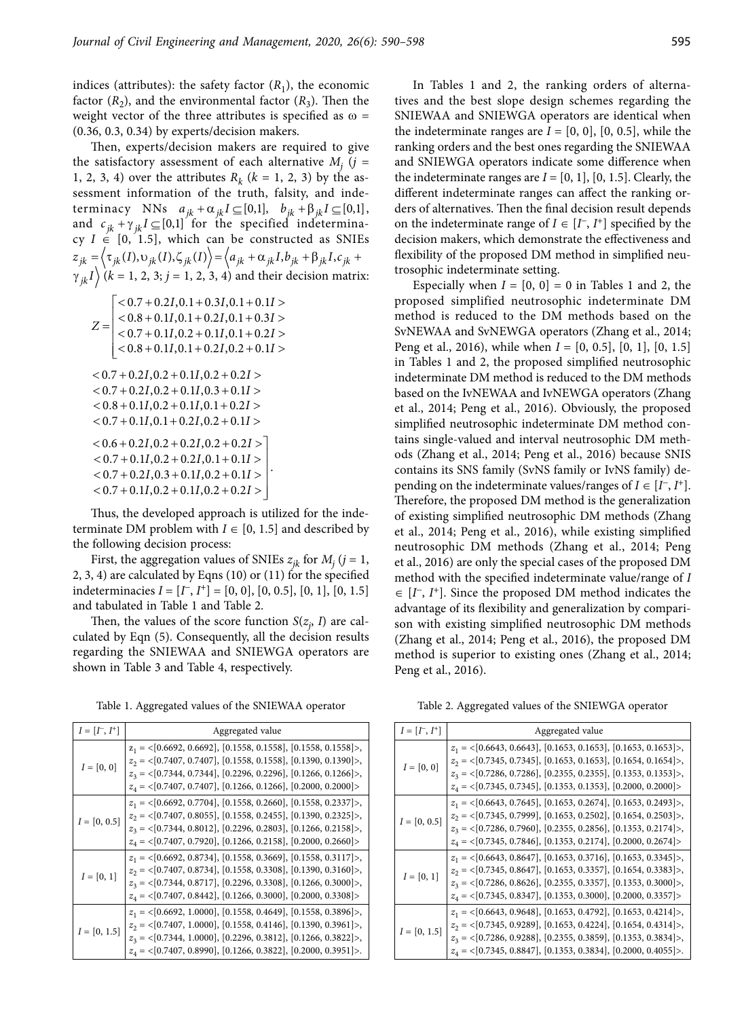indices (attributes): the safety factor  $(R_1)$ , the economic factor  $(R_2)$ , and the environmental factor  $(R_3)$ . Then the weight vector of the three attributes is specified as  $\omega$  = (0.36, 0.3, 0.34) by experts/decision makers.

Then, experts/decision makers are required to give the satisfactory assessment of each alternative  $M_j$  ( $j =$ 1, 2, 3, 4) over the attributes  $R_k$  ( $k = 1, 2, 3$ ) by the assessment information of the truth, falsity, and indeterminacy NNs  $a_{jk} + \alpha_{jk} I \subseteq [0,1], \quad b_{jk} + \beta_{jk} I \subseteq [0,1],$ and  $c_{ik} + \gamma_{ik} I \subseteq [0,1]$  for the specified indeterminacy  $I \in [0, 1.5]$ , which can be constructed as SNIEs  $z_{jk} = \langle \tau_{jk}(I), \upsilon_{jk}(I), \zeta_{jk}(I) \rangle = \langle a_{jk} + \alpha_{jk}I, b_{jk} + \beta_{jk}I, c_{jk} + \epsilon \rangle$  $\gamma_{jk} I \rangle$  ( $k = 1, 2, 3; j = 1, 2, 3, 4$ ) and their decision matrix:

| proposed    | $< 0.7 + 0.2I, 0.1 + 0.3I, 0.1 + 0.1I >$           |
|-------------|----------------------------------------------------|
| method i    | $< 0.8 + 0.1I, 0.1 + 0.2I, 0.1 + 0.3I >$           |
| SvNEWA.     | $Z =$<br>$< 0.7 + 0.1I$ , 0.2 + 0.1I, 0.1 + 0.2I > |
| Peng et al  | $< 0.8 + 0.1I$ , 0.1 + 0.2I, 0.2 + 0.1I >          |
| in Tables   |                                                    |
| indetermi   | $< 0.7 + 0.2I, 0.2 + 0.1I, 0.2 + 0.2I >$           |
| based on    | $< 0.7 + 0.2I, 0.2 + 0.1I, 0.3 + 0.1I >$           |
| et al., 201 | $< 0.8 + 0.1I$ , 0.2 + 0.1I, 0.1 + 0.2I >          |
| simplified  | $< 0.7 + 0.1I$ , 0.1 + 0.2I, 0.2 + 0.1I >          |
| tains sing  | $< 0.6 + 0.2I, 0.2 + 0.2I, 0.2 + 0.2I >$           |
| ods (Zhai   | $< 0.7 + 0.1I$ , 0.2 + 0.2I, 0.1 + 0.1I >          |
| contains i  | $< 0.7 + 0.2I, 0.3 + 0.1I, 0.2 + 0.1I >$           |
| pending c   | $< 0.7 + 0.1I, 0.2 + 0.1I, 0.2 + 0.2I >$           |
| Thoroforo   |                                                    |

Thus, the developed approach is utilized for the indeterminate DM problem with  $I \in [0, 1.5]$  and described by the following decision process:

First, the aggregation values of SNIEs  $z_{jk}$  for  $M_j$  ( $j = 1$ , 2, 3, 4) are calculated by Eqns (10) or (11) for the specified indeterminacies  $I = [I^-, I^+] = [0, 0], [0, 0.5], [0, 1], [0, 1.5]$ and tabulated in Table 1 and Table 2.

Then, the values of the score function  $S(z_j, I)$  are calculated by Eqn (5). Consequently, all the decision results regarding the SNIEWAA and SNIEWGA operators are shown in Table 3 and Table 4, respectively.

Table 1. Aggregated values of the SNIEWAA operator

| $I = [I^-, I^+]$           | Aggregated value                                                                                                                                                                                                                                                                                                   |  |  |
|----------------------------|--------------------------------------------------------------------------------------------------------------------------------------------------------------------------------------------------------------------------------------------------------------------------------------------------------------------|--|--|
| $I = [0, 0]$               | $z_1 = \{0.6692, 0.6692\}, [0.1558, 0.1558], [0.1558, 0.1558]\}$<br>$z_2 = \{0.7407, 0.7407\}, [0.1558, 0.1558], [0.1390, 0.1390]\right.$<br>$z_3 = \{0.7344, 0.7344\}, [0.2296, 0.2296], [0.1266, 0.1266]\}$<br>$z_4 = \langle [0.7407, \, 0.7407], \, [0.1266, \, 0.1266], \, [0.2000, \, 0.2000] \rangle$       |  |  |
| $I = \left[0,\,0.5\right]$ | $z_1 = \{0.6692, 0.7704\}, [0.1558, 0.2660], [0.1558, 0.2337] \rangle$<br>$z_2 = \{0.7407, 0.8055\}, [0.1558, 0.2455], [0.1390, 0.2325]\right)$<br>$z_3 = \{0.7344, 0.8012\}, [0.2296, 0.2803], [0.1266, 0.2158]\right)$<br>$z_4 = \{0.7407, 0.7920\}, [0.1266, 0.2158], [0.2000, 0.2660] \rangle$                 |  |  |
| $I = [0, 1]$               | $z_1 = \{0.6692, 0.8734\}, [0.1558, 0.3669], [0.1558, 0.3117] \rangle$<br>$z_2 = \{0.7407, 0.8734\}, [0.1558, 0.3308], [0.1390, 0.3160] \rangle$<br>$z_3 = \langle 0.7344, 0.8717 \rangle, [0.2296, 0.3308], [0.1266, 0.3000] \rangle,$<br>$z_4 = \{0.7407, 0.8442\}, [0.1266, 0.3000], [0.2000, 0.3308] \rangle$  |  |  |
| $I = [0, 1.5]$             | $z_1 = \{0.6692, 1.0000\}, [0.1558, 0.4649], [0.1558, 0.3896] \rangle,$<br>$z_2 = \{0.7407, 1.0000\}, [0.1558, 0.4146], [0.1390, 0.3961] \rangle,$<br>$z_3 = \langle 0.7344, 1.0000 \rangle, [0.2296, 0.3812], [0.1266, 0.3822] \rangle,$<br>$z_4 = \{0.7407, 0.8990\}, [0.1266, 0.3822], [0.2000, 0.3951]\right.$ |  |  |

In Tables 1 and 2, the ranking orders of alternatives and the best slope design schemes regarding the SNIEWAA and SNIEWGA operators are identical when the indeterminate ranges are  $I = [0, 0]$ ,  $[0, 0.5]$ , while the ranking orders and the best ones regarding the SNIEWAA and SNIEWGA operators indicate some difference when the indeterminate ranges are  $I = [0, 1]$ ,  $[0, 1.5]$ . Clearly, the different indeterminate ranges can affect the ranking orders of alternatives. Then the final decision result depends on the indeterminate range of  $I \in [I^-, I^+]$  specified by the decision makers, which demonstrate the effectiveness and flexibility of the proposed DM method in simplified neutrosophic indeterminate setting.

 $\begin{array}{|l} \hline \{<\,0.7\,+\,0.2I, 0.1\,+\,0.3I, 0.1\,+\,0.1I>\end{array}$  proposed simplified neutrosophic indeterminate DM  $\vert$  < 0.8 + 0.1I, 0.1 + 0.2I, 0.1 + 0.3I > method is reduced to the DM methods based on the  $Z = \begin{vmatrix} <0.8 + 0.1I, 0.1 + 0.2I, 0.1 + 0.3I> & \text{method is reduced to the DM methods based on the} \\ <0.7 + 0.1I, 0.2 + 0.1I, 0.1 + 0.2I> & \text{SvNEWAA and SvNEWGA operators (Zhang et al., 2014;$  $\geq$  0.8 + 0.1*I*, 0.1 + 0.2*I*, 0.2 + 0.1*I* >  $\geq$  Peng et al., 2016), while when *I* = [0, 0.5], [0, 1], [0, 1.5] + 0.11, 0.2 + 0.11, 0.1 + 0.21 > et al., 2014; Peng et al., 2016). Obviously, the proposed Especially when  $I = [0, 0] = 0$  in Tables 1 and 2, the in Tables 1 and 2, the proposed simplified neutrosophic indeterminate DM method is reduced to the DM methods based on the IvNEWAA and IvNEWGA operators (Zhang simplified neutrosophic indeterminate DM method contains single-valued and interval neutrosophic DM methods (Zhang et al., 2014; Peng et al., 2016) because SNIS contains its SNS family (SvNS family or IvNS family) depending on the indeterminate values/ranges of  $I \in [I^-, I^+]$ . Therefore, the proposed DM method is the generalization of existing simplified neutrosophic DM methods (Zhang et al., 2014; Peng et al., 2016), while existing simplified neutrosophic DM methods (Zhang et al., 2014; Peng et al., 2016) are only the special cases of the proposed DM method with the specified indeterminate value/range of *I*  $\in$  [ $I^{\dagger}$ ,  $I^{\dagger}$ ]. Since the proposed DM method indicates the advantage of its flexibility and generalization by comparison with existing simplified neutrosophic DM methods (Zhang et al., 2014; Peng et al., 2016), the proposed DM method is superior to existing ones (Zhang et al., 2014; Peng et al., 2016).

Table 2. Aggregated values of the SNIEWGA operator

| $I = [I^-, I^+]$            | Aggregated value                                                                                                                                                                                                                                                                                                  |  |  |
|-----------------------------|-------------------------------------------------------------------------------------------------------------------------------------------------------------------------------------------------------------------------------------------------------------------------------------------------------------------|--|--|
| $I = [0, 0]$                | $z_1 = \{0.6643, 0.6643\}, [0.1653, 0.1653], [0.1653, 0.1653]\}$<br>$z_2 = \{0.7345, 0.7345\}, [0.1653, 0.1653], [0.1654, 0.1654]\}$<br>$z_3 = \{0.7286, 0.7286\}, [0.2355, 0.2355], [0.1353, 0.1353]\}$<br>$z_4 = \{0.7345, 0.7345\}, [0.1353, 0.1353], [0.2000, 0.2000]$                                        |  |  |
| $I = [0, 0.5]$              | $z_1 = \{0.6643, 0.7645\}, [0.1653, 0.2674], [0.1653, 0.2493]\}$ ,<br>$z_2 = \{0.7345, 0.7999\}, [0.1653, 0.2502], [0.1654, 0.2503] \rangle$<br>$z_3 = \{0.7286, 0.7960\}, [0.2355, 0.2856], [0.1353, 0.2174] \rangle$<br>$z_4 = \{0.7345, 0.7846\}, [0.1353, 0.2174], [0.2000, 0.2674] \rangle$                  |  |  |
| $I = [0, 1]$                | $z_1 = \{0.6643, 0.8647\}, [0.1653, 0.3716], [0.1653, 0.3345]\}$<br>$z_2 = \{0.7345, 0.8647\}, [0.1653, 0.3357], [0.1654, 0.3383]\right),$<br>$z_3 = \{0.7286, 0.8626\}, [0.2355, 0.3357], [0.1353, 0.3000] \rangle$<br>$z_4 = \{0.7345, 0.8347\}, [0.1353, 0.3000], [0.2000, 0.3357] \rangle$                    |  |  |
| $I = \left[0,\, 1.5\right]$ | $z_1 = \{0.6643, 0.9648\}, [0.1653, 0.4792], [0.1653, 0.4214] \rangle$<br>$z_2 = \{0.7345, 0.9289\}, [0.1653, 0.4224], [0.1654, 0.4314] \rangle,$<br>$z_3 = \langle 0.7286, 0.9288 \rangle, [0.2355, 0.3859], [0.1353, 0.3834] \rangle,$<br>$z_4 = \{0.7345, 0.8847\}, [0.1353, 0.3834], [0.2000, 0.4055]\right.$ |  |  |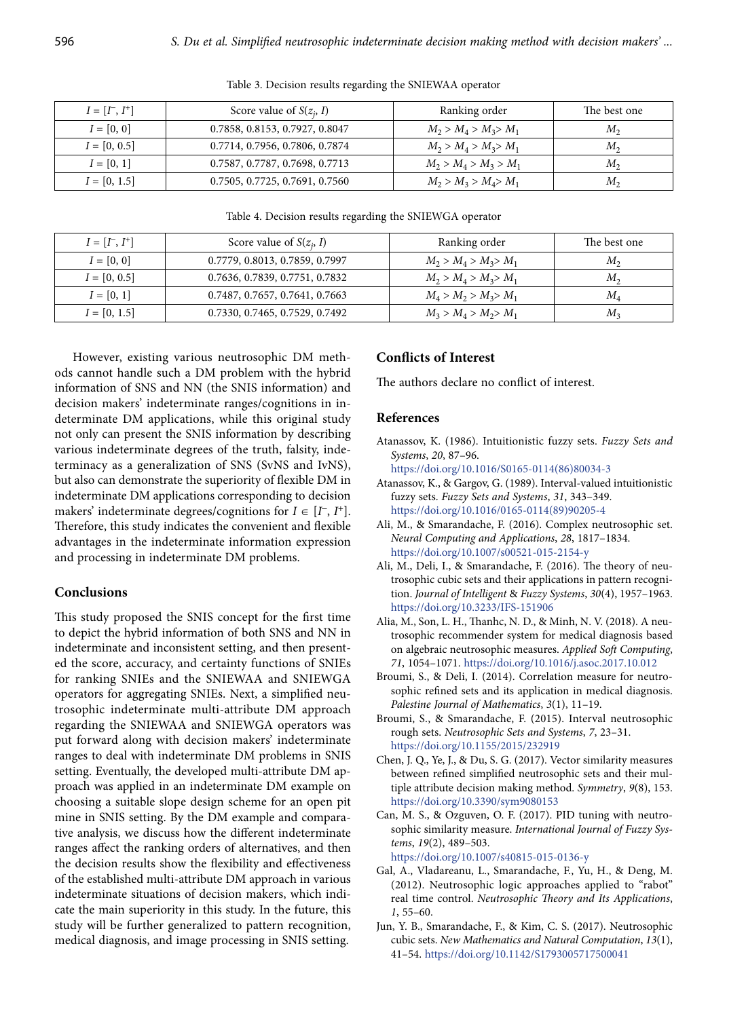| $I = [I^-, I^+]$ | Score value of $S(z_i, I)$     | Ranking order           | The best one |
|------------------|--------------------------------|-------------------------|--------------|
| $I = [0, 0]$     | 0.7858, 0.8153, 0.7927, 0.8047 | $M_2 > M_4 > M_3 > M_1$ | $M_{2}$      |
| $I = [0, 0.5]$   | 0.7714, 0.7956, 0.7806, 0.7874 | $M_2 > M_4 > M_3 > M_1$ | $M_{2}$      |
| $I = [0, 1]$     | 0.7587, 0.7787, 0.7698, 0.7713 | $M_2 > M_4 > M_3 > M_1$ | $M_{\rm{2}}$ |
| $I = [0, 1.5]$   | 0.7505, 0.7725, 0.7691, 0.7560 | $M_2 > M_3 > M_4 > M_1$ | $M_{2}$      |

Table 3. Decision results regarding the SNIEWAA operator

Table 4. Decision results regarding the SNIEWGA operator

| $I = [I^-, I^+]$ | Score value of $S(z_i, I)$     | Ranking order           | The best one |
|------------------|--------------------------------|-------------------------|--------------|
| $I = [0, 0]$     | 0.7779, 0.8013, 0.7859, 0.7997 | $M_2 > M_4 > M_3 > M_1$ | $M_{2}$      |
| $I = [0, 0.5]$   | 0.7636, 0.7839, 0.7751, 0.7832 | $M_2 > M_4 > M_3 > M_1$ | $M_{2}$      |
| $I = [0, 1]$     | 0.7487, 0.7657, 0.7641, 0.7663 | $M_4 > M_2 > M_3 > M_1$ | $M_A$        |
| $I = [0, 1.5]$   | 0.7330, 0.7465, 0.7529, 0.7492 | $M_3 > M_4 > M_2 > M_1$ | $M_{2}$      |

However, existing various neutrosophic DM methods cannot handle such a DM problem with the hybrid information of SNS and NN (the SNIS information) and decision makers' indeterminate ranges/cognitions in indeterminate DM applications, while this original study not only can present the SNIS information by describing various indeterminate degrees of the truth, falsity, indeterminacy as a generalization of SNS (SvNS and IvNS), but also can demonstrate the superiority of flexible DM in indeterminate DM applications corresponding to decision makers' indeterminate degrees/cognitions for  $I \in [I^-, I^+]$ . Therefore, this study indicates the convenient and flexible advantages in the indeterminate information expression and processing in indeterminate DM problems.

#### **Conclusions**

This study proposed the SNIS concept for the first time to depict the hybrid information of both SNS and NN in indeterminate and inconsistent setting, and then presented the score, accuracy, and certainty functions of SNIEs for ranking SNIEs and the SNIEWAA and SNIEWGA operators for aggregating SNIEs. Next, a simplified neutrosophic indeterminate multi-attribute DM approach regarding the SNIEWAA and SNIEWGA operators was put forward along with decision makers' indeterminate ranges to deal with indeterminate DM problems in SNIS setting. Eventually, the developed multi-attribute DM approach was applied in an indeterminate DM example on choosing a suitable slope design scheme for an open pit mine in SNIS setting. By the DM example and comparative analysis, we discuss how the different indeterminate ranges affect the ranking orders of alternatives, and then the decision results show the flexibility and effectiveness of the established multi-attribute DM approach in various indeterminate situations of decision makers, which indicate the main superiority in this study. In the future, this study will be further generalized to pattern recognition, medical diagnosis, and image processing in SNIS setting.

#### **Conflicts of Interest**

The authors declare no conflict of interest.

#### **References**

Atanassov, K. (1986). Intuitionistic fuzzy sets. *Fuzzy Sets and Systems*, *20*, 87–96.

[https://doi.org/10.1016/S0165-0114\(86\)80034-3](https://doi.org/10.1016/S0165-0114(86)80034-3)

- Atanassov, K., & Gargov, G. (1989). Interval-valued intuitionistic fuzzy sets. *Fuzzy Sets and Systems*, *31*, 343–349. [https://doi.org/10.1016/0165-0114\(89\)90205-4](https://doi.org/10.1016/0165-0114(89)90205-4)
- Ali, M., & Smarandache, F. (2016). Complex neutrosophic set. *Neural Computing and Applications*, *28*, 1817–1834. <https://doi.org/10.1007/s00521-015-2154-y>
- Ali, M., Deli, I., & Smarandache, F. (2016). The theory of neutrosophic cubic sets and their applications in pattern recognition. *Journal of Intelligent* & *Fuzzy Systems*, *30*(4), 1957–1963. <https://doi.org/10.3233/IFS-151906>
- Alia, M., Son, L. H., Thanhc, N. D., & Minh, N. V. (2018). A neutrosophic recommender system for medical diagnosis based on algebraic neutrosophic measures. *Applied Soft Computing*, *71*, 1054–1071. <https://doi.org/10.1016/j.asoc.2017.10.012>
- Broumi, S., & Deli, I. (2014). Correlation measure for neutrosophic refined sets and its application in medical diagnosis. *Palestine Journal of Mathematics*, *3*(1), 11–19.
- Broumi, S., & Smarandache, F. (2015). Interval neutrosophic rough sets. *Neutrosophic Sets and Systems*, *7*, 23–31. <https://doi.org/10.1155/2015/232919>
- Chen, J. Q., Ye, J., & Du, S. G. (2017). Vector similarity measures between refined simplified neutrosophic sets and their multiple attribute decision making method. *Symmetry*, *9*(8), 153. <https://doi.org/10.3390/sym9080153>
- Can, M. S., & Ozguven, O. F. (2017). PID tuning with neutrosophic similarity measure. *International Journal of Fuzzy Systems*, *19*(2), 489–503. <https://doi.org/10.1007/s40815-015-0136-y>
- Gal, A., Vladareanu, L., Smarandache, F., Yu, H., & Deng, M. (2012). Neutrosophic logic approaches applied to "rabot" real time control. *Neutrosophic Theory and Its Applications*, *1*, 55–60.
- Jun, Y. B., Smarandache, F., & Kim, C. S. (2017). Neutrosophic cubic sets. *New Mathematics and Natural Computation*, *13*(1), 41–54. <https://doi.org/10.1142/S1793005717500041>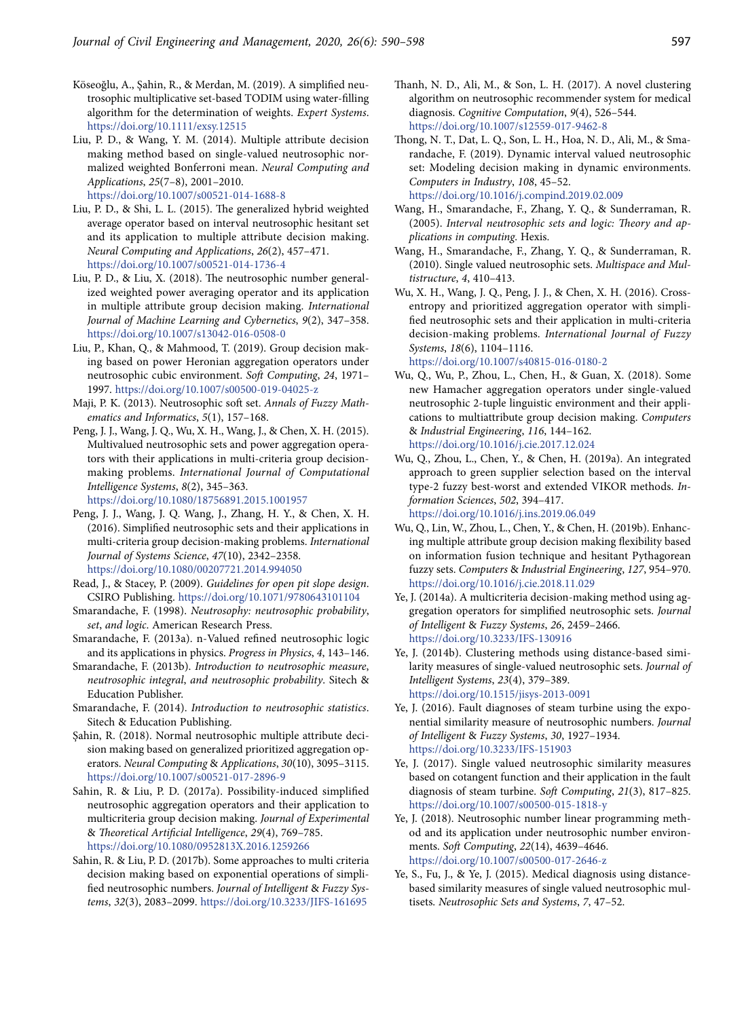- Köseoğlu, A., Şahin, R., & Merdan, M. (2019). A simplified neutrosophic multiplicative set‐based TODIM using water‐filling algorithm for the determination of weights. *Expert Systems*. <https://doi.org/10.1111/exsy.12515>
- Liu, P. D., & Wang, Y. M. (2014). Multiple attribute decision making method based on single-valued neutrosophic normalized weighted Bonferroni mean. *Neural Computing and Applications*, *25*(7–8), 2001–2010. <https://doi.org/10.1007/s00521-014-1688-8>
- Liu, P. D., & Shi, L. L. (2015). The generalized hybrid weighted average operator based on interval neutrosophic hesitant set and its application to multiple attribute decision making. *Neural Computing and Applications*, *26*(2), 457–471. <https://doi.org/10.1007/s00521-014-1736-4>
- Liu, P. D., & Liu, X. (2018). The neutrosophic number generalized weighted power averaging operator and its application in multiple attribute group decision making. *International Journal of Machine Learning and Cybernetics*, *9*(2), 347–358. <https://doi.org/10.1007/s13042-016-0508-0>
- Liu, P., Khan, Q., & Mahmood, T. (2019). Group decision making based on power Heronian aggregation operators under neutrosophic cubic environment. *Soft Computing*, *24*, 1971– 1997. <https://doi.org/10.1007/s00500-019-04025-z>
- Maji, P. K. (2013). Neutrosophic soft set. *Annals of Fuzzy Mathematics and Informatics*, *5*(1), 157–168.
- Peng, J. J., Wang, J. Q., Wu, X. H., Wang, J., & Chen, X. H. (2015). Multivalued neutrosophic sets and power aggregation operators with their applications in multi-criteria group decisionmaking problems. *International Journal of Computational Intelligence Systems*, *8*(2), 345–363. <https://doi.org/10.1080/18756891.2015.1001957>
- Peng, J. J., Wang, J. Q. Wang, J., Zhang, H. Y., & Chen, X. H. (2016). Simplified neutrosophic sets and their applications in multi-criteria group decision-making problems. *International Journal of Systems Science*, *47*(10), 2342–2358. <https://doi.org/10.1080/00207721.2014.994050>
- Read, J., & Stacey, P. (2009). *Guidelines for open pit slope design*. CSIRO Publishing. <https://doi.org/10.1071/9780643101104>
- Smarandache, F. (1998). *Neutrosophy: neutrosophic probability*, *set*, *and logic*. American Research Press.
- Smarandache, F. (2013a). n-Valued refined neutrosophic logic and its applications in physics. *Progress in Physics*, *4*, 143–146.
- Smarandache, F. (2013b). *Introduction to neutrosophic measure*, *neutrosophic integral*, *and neutrosophic probability*. Sitech & Education Publisher.
- Smarandache, F. (2014). *Introduction to neutrosophic statistics*. Sitech & Education Publishing.
- Şahin, R. (2018). Normal neutrosophic multiple attribute decision making based on generalized prioritized aggregation operators. *Neural Computing* & *Applications*, *30*(10), 3095–3115. <https://doi.org/10.1007/s00521-017-2896-9>
- Sahin, R. & Liu, P. D. (2017a). Possibility-induced simplified neutrosophic aggregation operators and their application to multicriteria group decision making. *Journal of Experimental*  & *Theoretical Artificial Intelligence*, *29*(4), 769–785. <https://doi.org/10.1080/0952813X.2016.1259266>
- Sahin, R. & Liu, P. D. (2017b). Some approaches to multi criteria decision making based on exponential operations of simplified neutrosophic numbers. *Journal of Intelligent* & *Fuzzy Systems*, *32*(3), 2083–2099. <https://doi.org/10.3233/JIFS-161695>
- Thanh, N. D., Ali, M., & Son, L. H. (2017). A novel clustering algorithm on neutrosophic recommender system for medical diagnosis. *Cognitive Computation*, *9*(4), 526–544. <https://doi.org/10.1007/s12559-017-9462-8>
- Thong, N. T., Dat, L. Q., Son, L. H., Hoa, N. D., Ali, M., & Smarandache, F. (2019). Dynamic interval valued neutrosophic set: Modeling decision making in dynamic environments. *Computers in Industry*, *108*, 45–52.

<https://doi.org/10.1016/j.compind.2019.02.009>

- Wang, H., Smarandache, F., Zhang, Y. Q., & Sunderraman, R. (2005). *Interval neutrosophic sets and logic: Theory and applications in computing*. Hexis.
- Wang, H., Smarandache, F., Zhang, Y. Q., & Sunderraman, R. (2010). Single valued neutrosophic sets. *Multispace and Multistructure*, *4*, 410–413.
- Wu, X. H., Wang, J. Q., Peng, J. J., & Chen, X. H. (2016). Crossentropy and prioritized aggregation operator with simplified neutrosophic sets and their application in multi-criteria decision-making problems. *International Journal of Fuzzy Systems*, *18*(6), 1104–1116. <https://doi.org/10.1007/s40815-016-0180-2>
- Wu, Q., Wu, P., Zhou, L., Chen, H., & Guan, X. (2018). Some new Hamacher aggregation operators under single-valued neutrosophic 2-tuple linguistic environment and their applications to multiattribute group decision making. *Computers*  & *Industrial Engineering*, *116*, 144–162. <https://doi.org/10.1016/j.cie.2017.12.024>
- Wu, Q., Zhou, L., Chen, Y., & Chen, H. (2019a). An integrated approach to green supplier selection based on the interval type-2 fuzzy best-worst and extended VIKOR methods. *Information Sciences*, *502*, 394–417.

<https://doi.org/10.1016/j.ins.2019.06.049>

- Wu, Q., Lin, W., Zhou, L., Chen, Y., & Chen, H. (2019b). Enhancing multiple attribute group decision making flexibility based on information fusion technique and hesitant Pythagorean fuzzy sets. *Computers* & *Industrial Engineering*, *127*, 954–970. <https://doi.org/10.1016/j.cie.2018.11.029>
- Ye, J. (2014a). A multicriteria decision-making method using aggregation operators for simplified neutrosophic sets. *Journal of Intelligent* & *Fuzzy Systems*, *26*, 2459–2466. <https://doi.org/10.3233/IFS-130916>
- Ye, J. (2014b). Clustering methods using distance-based similarity measures of single-valued neutrosophic sets. *Journal of Intelligent Systems*, *23*(4), 379–389. https://doi.org/10.1515/jisys-2013-0091
- Ye, J. (2016). Fault diagnoses of steam turbine using the exponential similarity measure of neutrosophic numbers. *Journal of Intelligent* & *Fuzzy Systems*, *30*, 1927–1934. <https://doi.org/10.3233/IFS-151903>
- Ye, J. (2017). Single valued neutrosophic similarity measures based on cotangent function and their application in the fault diagnosis of steam turbine. *Soft Computing*, *21*(3), 817–825. <https://doi.org/10.1007/s00500-015-1818-y>
- Ye, J. (2018). Neutrosophic number linear programming method and its application under neutrosophic number environments. *Soft Computing*, *22*(14), 4639–4646. <https://doi.org/10.1007/s00500-017-2646-z>
- Ye, S., Fu, J., & Ye, J. (2015). Medical diagnosis using distancebased similarity measures of single valued neutrosophic multisets. *Neutrosophic Sets and Systems*, *7*, 47–52.